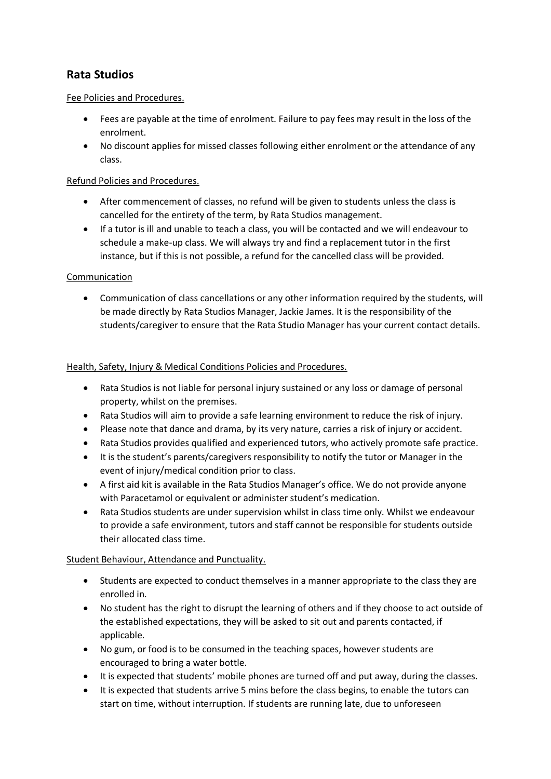# **Rata Studios**

## Fee Policies and Procedures.

- Fees are payable at the time of enrolment. Failure to pay fees may result in the loss of the enrolment.
- No discount applies for missed classes following either enrolment or the attendance of any class.

## Refund Policies and Procedures.

- After commencement of classes, no refund will be given to students unless the class is cancelled for the entirety of the term, by Rata Studios management.
- If a tutor is ill and unable to teach a class, you will be contacted and we will endeavour to schedule a make-up class. We will always try and find a replacement tutor in the first instance, but if this is not possible, a refund for the cancelled class will be provided.

## Communication

 Communication of class cancellations or any other information required by the students, will be made directly by Rata Studios Manager, Jackie James. It is the responsibility of the students/caregiver to ensure that the Rata Studio Manager has your current contact details.

## Health, Safety, Injury & Medical Conditions Policies and Procedures.

- Rata Studios is not liable for personal injury sustained or any loss or damage of personal property, whilst on the premises.
- Rata Studios will aim to provide a safe learning environment to reduce the risk of injury.
- Please note that dance and drama, by its very nature, carries a risk of injury or accident.
- Rata Studios provides qualified and experienced tutors, who actively promote safe practice.
- It is the student's parents/caregivers responsibility to notify the tutor or Manager in the event of injury/medical condition prior to class.
- A first aid kit is available in the Rata Studios Manager's office. We do not provide anyone with Paracetamol or equivalent or administer student's medication.
- Rata Studios students are under supervision whilst in class time only. Whilst we endeavour to provide a safe environment, tutors and staff cannot be responsible for students outside their allocated class time.

## Student Behaviour, Attendance and Punctuality.

- Students are expected to conduct themselves in a manner appropriate to the class they are enrolled in.
- No student has the right to disrupt the learning of others and if they choose to act outside of the established expectations, they will be asked to sit out and parents contacted, if applicable.
- No gum, or food is to be consumed in the teaching spaces, however students are encouraged to bring a water bottle.
- It is expected that students' mobile phones are turned off and put away, during the classes.
- It is expected that students arrive 5 mins before the class begins, to enable the tutors can start on time, without interruption. If students are running late, due to unforeseen